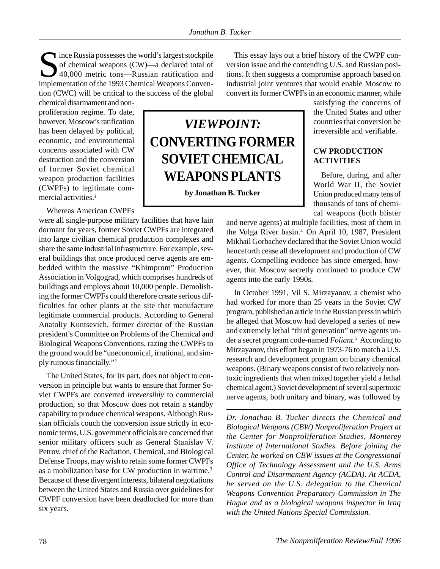$\bigcap$  ince Russia possesses the world's largest stockpile of chemical weapons (CW)—a declared total of 40,000 metric tons—Russian ratification and implementation of the 1993 Chemical Weapons Convention (CWC) will be critical to the success of the global

chemical disarmament and nonproliferation regime. To date, however, Moscow's ratification has been delayed by political, economic, and environmental concerns associated with CW destruction and the conversion of former Soviet chemical weapon production facilities (CWPFs) to legitimate commercial activities.<sup>1</sup>

Whereas American CWPFs

were all single-purpose military facilities that have lain dormant for years, former Soviet CWPFs are integrated into large civilian chemical production complexes and share the same industrial infrastructure. For example, several buildings that once produced nerve agents are embedded within the massive "Khimprom" Production Association in Volgograd, which comprises hundreds of buildings and employs about 10,000 people. Demolishing the former CWPFs could therefore create serious difficulties for other plants at the site that manufacture legitimate commercial products. According to General Anatoliy Kuntsevich, former director of the Russian president's Committee on Problems of the Chemical and Biological Weapons Conventions, razing the CWPFs to the ground would be "uneconomical, irrational, and simply ruinous financially."2

The United States, for its part, does not object to conversion in principle but wants to ensure that former Soviet CWPFs are converted *irreversibly* to commercial production, so that Moscow does not retain a standby capability to produce chemical weapons. Although Russian officials couch the conversion issue strictly in economic terms, U.S. government officials are concerned that senior military officers such as General Stanislav V. Petrov, chief of the Radiation, Chemical, and Biological Defense Troops, may wish to retain some former CWPFs as a mobilization base for CW production in wartime.<sup>3</sup> Because of these divergent interests, bilateral negotiations between the United States and Russia over guidelines for CWPF conversion have been deadlocked for more than six years.

This essay lays out a brief history of the CWPF conversion issue and the contending U.S. and Russian positions. It then suggests a compromise approach based on industrial joint ventures that would enable Moscow to convert its former CWPFs in an economic manner, while

satisfying the concerns of the United States and other countries that conversion be irreversible and verifiable.

# **CW PRODUCTION ACTIVITIES**

Before, during, and after World War II, the Soviet Union produced many tens of thousands of tons of chemical weapons (both blister

and nerve agents) at multiple facilities, most of them in the Volga River basin.<sup>4</sup> On April 10, 1987, President Mikhail Gorbachev declared that the Soviet Union would henceforth cease all development and production of CW agents. Compelling evidence has since emerged, however, that Moscow secretly continued to produce CW agents into the early 1990s.

In October 1991, Vil S. Mirzayanov, a chemist who had worked for more than 25 years in the Soviet CW program, published an article in the Russian press in which he alleged that Moscow had developed a series of new and extremely lethal "third generation" nerve agents under a secret program code-named *Foliant.*5 According to Mirzayanov, this effort began in 1973-76 to match a U.S. research and development program on binary chemical weapons. (Binary weapons consist of two relatively nontoxic ingredients that when mixed together yield a lethal chemical agent.) Soviet development of several supertoxic nerve agents, both unitary and binary, was followed by

*Dr. Jonathan B. Tucker directs the Chemical and Biological Weapons (CBW) Nonproliferation Project at the Center for Nonproliferation Studies, Monterey Institute of International Studies. Before joining the Center, he worked on CBW issues at the Congressional Office of Technology Assessment and the U.S. Arms Control and Disarmament Agency (ACDA). At ACDA, he served on the U.S. delegation to the Chemical Weapons Convention Preparatory Commission in The Hague and as a biological weapons inspector in Iraq with the United Nations Special Commission.*

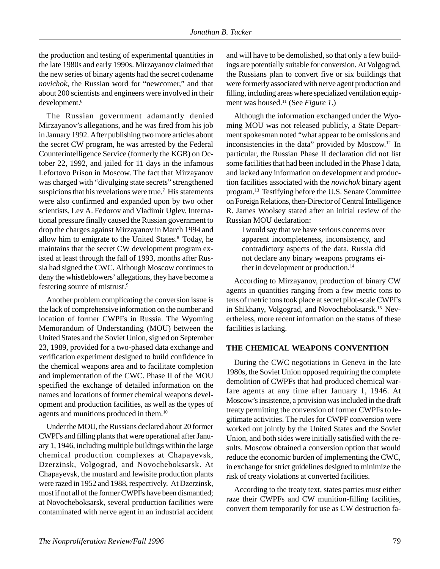the production and testing of experimental quantities in the late 1980s and early 1990s. Mirzayanov claimed that the new series of binary agents had the secret codename *novichok*, the Russian word for "newcomer," and that about 200 scientists and engineers were involved in their development.<sup>6</sup>

The Russian government adamantly denied Mirzayanov's allegations, and he was fired from his job in January 1992. After publishing two more articles about the secret CW program, he was arrested by the Federal Counterintelligence Service (formerly the KGB) on October 22, 1992, and jailed for 11 days in the infamous Lefortovo Prison in Moscow. The fact that Mirzayanov was charged with "divulging state secrets" strengthened suspicions that his revelations were true.<sup>7</sup> His statements were also confirmed and expanded upon by two other scientists, Lev A. Fedorov and Vladimir Uglev. International pressure finally caused the Russian government to drop the charges against Mirzayanov in March 1994 and allow him to emigrate to the United States.<sup>8</sup> Today, he maintains that the secret CW development program existed at least through the fall of 1993, months after Russia had signed the CWC. Although Moscow continues to deny the whistleblowers' allegations, they have become a festering source of mistrust.9

Another problem complicating the conversion issue is the lack of comprehensive information on the number and location of former CWPFs in Russia. The Wyoming Memorandum of Understanding (MOU) between the United States and the Soviet Union, signed on September 23, 1989, provided for a two-phased data exchange and verification experiment designed to build confidence in the chemical weapons area and to facilitate completion and implementation of the CWC. Phase II of the MOU specified the exchange of detailed information on the names and locations of former chemical weapons development and production facilities, as well as the types of agents and munitions produced in them.10

Under the MOU, the Russians declared about 20 former CWPFs and filling plants that were operational after January 1, 1946, including multiple buildings within the large chemical production complexes at Chapayevsk, Dzerzinsk, Volgograd, and Novocheboksarsk. At Chapayevsk, the mustard and lewisite production plants were razed in 1952 and 1988, respectively. At Dzerzinsk, most if not all of the former CWPFs have been dismantled; at Novocheboksarsk, several production facilities were contaminated with nerve agent in an industrial accident and will have to be demolished, so that only a few buildings are potentially suitable for conversion. At Volgograd, the Russians plan to convert five or six buildings that were formerly associated with nerve agent production and filling, including areas where specialized ventilation equipment was housed.11 (See *Figure 1*.)

Although the information exchanged under the Wyoming MOU was not released publicly, a State Department spokesman noted "what appear to be omissions and inconsistencies in the data" provided by Moscow.12 In particular, the Russian Phase II declaration did not list some facilities that had been included in the Phase I data, and lacked any information on development and production facilities associated with the *novichok* binary agent program.13 Testifying before the U.S. Senate Committee on Foreign Relations, then-Director of Central Intelligence R. James Woolsey stated after an initial review of the Russian MOU declaration:

I would say that we have serious concerns over apparent incompleteness, inconsistency, and contradictory aspects of the data. Russia did not declare any binary weapons programs either in development or production.<sup>14</sup>

According to Mirzayanov, production of binary CW agents in quantities ranging from a few metric tons to tens of metric tons took place at secret pilot-scale CWPFs in Shikhany, Volgograd, and Novocheboksarsk.15 Nevertheless, more recent information on the status of these facilities is lacking.

### **THE CHEMICAL WEAPONS CONVENTION**

During the CWC negotiations in Geneva in the late 1980s, the Soviet Union opposed requiring the complete demolition of CWPFs that had produced chemical warfare agents at any time after January 1, 1946. At Moscow's insistence, a provision was included in the draft treaty permitting the conversion of former CWPFs to legitimate activities. The rules for CWPF conversion were worked out jointly by the United States and the Soviet Union, and both sides were initially satisfied with the results. Moscow obtained a conversion option that would reduce the economic burden of implementing the CWC, in exchange for strict guidelines designed to minimize the risk of treaty violations at converted facilities.

According to the treaty text, states parties must either raze their CWPFs and CW munition-filling facilities, convert them temporarily for use as CW destruction fa-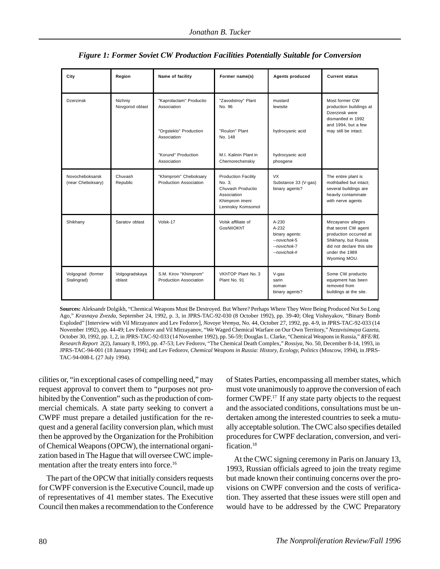| City                                 | Region                     | Name of facility                                | Former name(s)                                                                                                   | <b>Agents produced</b>                                                               | <b>Current status</b>                                                                                                                                       |  |  |
|--------------------------------------|----------------------------|-------------------------------------------------|------------------------------------------------------------------------------------------------------------------|--------------------------------------------------------------------------------------|-------------------------------------------------------------------------------------------------------------------------------------------------------------|--|--|
| <b>Dzerzinsk</b>                     | Nizhniy<br>Novgorod oblast | "Kaprolactam" Productio<br>Association          | "Zavodstroy" Plant<br>No. 96                                                                                     | mustard<br>lewisite                                                                  |                                                                                                                                                             |  |  |
|                                      |                            | "Orgsteklo" Production<br>Association           | "Roulon" Plant<br>No. 148                                                                                        | hydrocyanic acid                                                                     | and 1994, but a few<br>may still be intact.                                                                                                                 |  |  |
|                                      |                            | "Korund" Production<br>Association              | M.I. Kalinin Plant in<br>Chernorechenskiy                                                                        | hydrocyanic acid<br>phosgene                                                         |                                                                                                                                                             |  |  |
| Novocheboksarsk<br>(near Cheboksary) | Chuvash<br>Republic        | "Khimprom" Cheboksary<br>Production Association | <b>Production Facility</b><br>No. 3:<br>Chuvash Productio<br>Association<br>Khimprom imeni<br>Leninskiy Komsomol | <b>VX</b><br>Substance 33 (V-gas)<br>binary agents?                                  | The entire plant is<br>mothballed but intact:<br>several buildings are<br>heavily contaminate<br>with nerve agents                                          |  |  |
| Shikhany                             | Saratov oblast             | Volsk-17                                        | Volsk affiliate of<br>GosNIIOKhT                                                                                 | $A-230$<br>$A-232$<br>binary agents:<br>--novichok-5<br>--novichok-7<br>--novichok-# | Mirzayanov alleges<br>that secret CW agent<br>production occurred at<br>Shikhany, but Russia<br>did not declare this site<br>under the 1989<br>Wyoming MOU. |  |  |
| Volgograd (former<br>Stalingrad)     | Volgogradskaya<br>oblast   | S.M. Kirov "Khimprom"<br>Production Association | VKhTOP Plant No. 3<br>V-gas<br>Plant No. 91<br>sarin<br>soman<br>binary agents?                                  |                                                                                      | Some CW productio<br>equipment has been<br>removed from<br>buildings at the site.                                                                           |  |  |

|  |  |  |  |  | Figure 1: Former Soviet CW Production Facilities Potentially Suitable for Conversion |
|--|--|--|--|--|--------------------------------------------------------------------------------------|
|  |  |  |  |  |                                                                                      |

**Sources:** Aleksandr Dolgikh, "Chemical Weapons Must Be Destroyed. But Where? Perhaps Where They Were Being Produced Not So Long Ago," *Krasnaya Zvezda*, September 24, 1992, p. 3, in JPRS-TAC-92-030 (8 October 1992), pp. 39-40; Oleg Vishnyakov, "Binary Bomb Exploded" [Interview with Vil Mirzayanov and Lev Fedorov], *Novoye Vremya*, No. 44, October 27, 1992, pp. 4-9, in JPRS-TAC-92-033 (14 November 1992), pp. 44-49; Lev Fedorov and Vil Mirzayanov, "We Waged Chemical Warfare on Our Own Territory," *Nezavisimaya Gazeta*, October 30, 1992, pp. 1, 2, in JPRS-TAC-92-033 (14 November 1992), pp. 56-59; Douglas L. Clarke, "Chemical Weapons in Russia," *RFE/RL Research Report* 2(2), January 8, 1993, pp. 47-53; Lev Fedorov, "The Chemical Death Complex," *Rossiya,* No. 50, December 8-14, 1993, in JPRS-TAC-94-001 (18 January 1994); and Lev Fedorov, *Chemical Weapons in Russia: History, Ecology, Politics* (Moscow, 1994), in JPRS-TAC-94-008-L (27 July 1994).

cilities or, "in exceptional cases of compelling need," may request approval to convert them to "purposes not prohibited by the Convention" such as the production of commercial chemicals. A state party seeking to convert a CWPF must prepare a detailed justification for the request and a general facility conversion plan, which must then be approved by the Organization for the Prohibition of Chemical Weapons (OPCW), the international organization based in The Hague that will oversee CWC implementation after the treaty enters into force.<sup>16</sup>

The part of the OPCW that initially considers requests for CWPF conversion is the Executive Council, made up of representatives of 41 member states. The Executive Council then makes a recommendation to the Conference

of States Parties, encompassing all member states, which must vote unanimously to approve the conversion of each former CWPF.17 If any state party objects to the request and the associated conditions, consultations must be undertaken among the interested countries to seek a mutually acceptable solution. The CWC also specifies detailed procedures for CWPF declaration, conversion, and verification.<sup>18</sup>

At the CWC signing ceremony in Paris on January 13, 1993, Russian officials agreed to join the treaty regime but made known their continuing concerns over the provisions on CWPF conversion and the costs of verification. They asserted that these issues were still open and would have to be addressed by the CWC Preparatory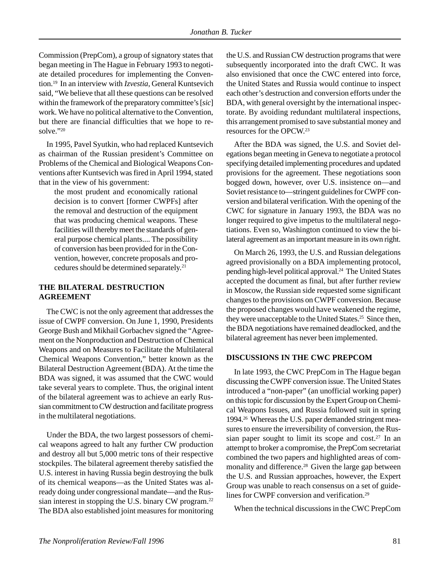Commission (PrepCom), a group of signatory states that began meeting in The Hague in February 1993 to negotiate detailed procedures for implementing the Convention.19 In an interview with *Izvestia*, General Kuntsevich said, "We believe that all these questions can be resolved within the framework of the preparatory committee's [*sic*] work. We have no political alternative to the Convention, but there are financial difficulties that we hope to resolve."20

In 1995, Pavel Syutkin, who had replaced Kuntsevich as chairman of the Russian president's Committee on Problems of the Chemical and Biological Weapons Conventions after Kuntsevich was fired in April 1994, stated that in the view of his government:

the most prudent and economically rational decision is to convert [former CWPFs] after the removal and destruction of the equipment that was producing chemical weapons. These facilities will thereby meet the standards of general purpose chemical plants.... The possibility of conversion has been provided for in the Convention, however, concrete proposals and procedures should be determined separately.21

## **THE BILATERAL DESTRUCTION AGREEMENT**

The CWC is not the only agreement that addresses the issue of CWPF conversion. On June 1, 1990, Presidents George Bush and Mikhail Gorbachev signed the "Agreement on the Nonproduction and Destruction of Chemical Weapons and on Measures to Facilitate the Multilateral Chemical Weapons Convention," better known as the Bilateral Destruction Agreement (BDA). At the time the BDA was signed, it was assumed that the CWC would take several years to complete. Thus, the original intent of the bilateral agreement was to achieve an early Russian commitment to CW destruction and facilitate progress in the multilateral negotiations.

Under the BDA, the two largest possessors of chemical weapons agreed to halt any further CW production and destroy all but 5,000 metric tons of their respective stockpiles. The bilateral agreement thereby satisfied the U.S. interest in having Russia begin destroying the bulk of its chemical weapons—as the United States was already doing under congressional mandate—and the Russian interest in stopping the U.S. binary CW program.<sup>22</sup> The BDA also established joint measures for monitoring the U.S. and Russian CW destruction programs that were subsequently incorporated into the draft CWC. It was also envisioned that once the CWC entered into force, the United States and Russia would continue to inspect each other's destruction and conversion efforts under the BDA, with general oversight by the international inspectorate. By avoiding redundant multilateral inspections, this arrangement promised to save substantial money and resources for the OPCW.23

After the BDA was signed, the U.S. and Soviet delegations began meeting in Geneva to negotiate a protocol specifying detailed implementing procedures and updated provisions for the agreement. These negotiations soon bogged down, however, over U.S. insistence on—and Soviet resistance to—stringent guidelines for CWPF conversion and bilateral verification. With the opening of the CWC for signature in January 1993, the BDA was no longer required to give impetus to the multilateral negotiations. Even so, Washington continued to view the bilateral agreement as an important measure in its own right.

On March 26, 1993, the U.S. and Russian delegations agreed provisionally on a BDA implementing protocol, pending high-level political approval.<sup>24</sup> The United States accepted the document as final, but after further review in Moscow, the Russian side requested some significant changes to the provisions on CWPF conversion. Because the proposed changes would have weakened the regime, they were unacceptable to the United States.<sup>25</sup> Since then, the BDA negotiations have remained deadlocked, and the bilateral agreement has never been implemented.

## **DISCUSSIONS IN THE CWC PREPCOM**

In late 1993, the CWC PrepCom in The Hague began discussing the CWPF conversion issue. The United States introduced a "non-paper" (an unofficial working paper) on this topic for discussion by the Expert Group on Chemical Weapons Issues, and Russia followed suit in spring 1994.26 Whereas the U.S. paper demanded stringent measures to ensure the irreversibility of conversion, the Russian paper sought to limit its scope and cost.<sup>27</sup> In an attempt to broker a compromise, the PrepCom secretariat combined the two papers and highlighted areas of commonality and difference.<sup>28</sup> Given the large gap between the U.S. and Russian approaches, however, the Expert Group was unable to reach consensus on a set of guidelines for CWPF conversion and verification.<sup>29</sup>

When the technical discussions in the CWC PrepCom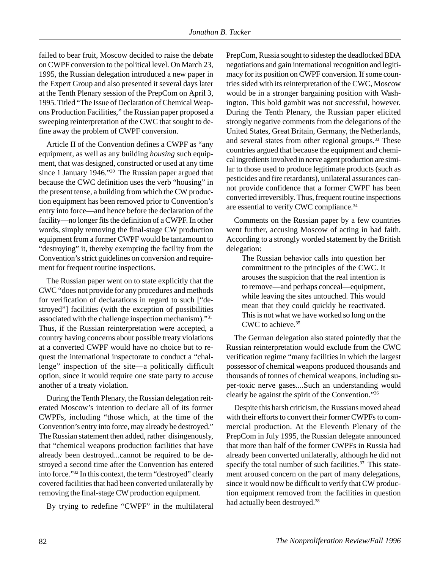failed to bear fruit, Moscow decided to raise the debate on CWPF conversion to the political level. On March 23, 1995, the Russian delegation introduced a new paper in the Expert Group and also presented it several days later at the Tenth Plenary session of the PrepCom on April 3, 1995. Titled "The Issue of Declaration of Chemical Weapons Production Facilities," the Russian paper proposed a sweeping reinterpretation of the CWC that sought to define away the problem of CWPF conversion.

Article II of the Convention defines a CWPF as "any equipment, as well as any building *housing* such equipment, that was designed, constructed or used at any time since 1 January 1946."30 The Russian paper argued that because the CWC definition uses the verb "housing" in the present tense, a building from which the CW production equipment has been removed prior to Convention's entry into force—and hence before the declaration of the facility—no longer fits the definition of a CWPF. In other words, simply removing the final-stage CW production equipment from a former CWPF would be tantamount to "destroying" it, thereby exempting the facility from the Convention's strict guidelines on conversion and requirement for frequent routine inspections.

The Russian paper went on to state explicitly that the CWC "does not provide for any procedures and methods for verification of declarations in regard to such ["destroyed"] facilities (with the exception of possibilities associated with the challenge inspection mechanism)."31 Thus, if the Russian reinterpretation were accepted, a country having concerns about possible treaty violations at a converted CWPF would have no choice but to request the international inspectorate to conduct a "challenge" inspection of the site—a politically difficult option, since it would require one state party to accuse another of a treaty violation.

During the Tenth Plenary, the Russian delegation reiterated Moscow's intention to declare all of its former CWPFs, including "those which, at the time of the Convention's entry into force, may already be destroyed." The Russian statement then added, rather disingenously, that "chemical weapons production facilities that have already been destroyed...cannot be required to be destroyed a second time after the Convention has entered into force."32 In this context, the term "destroyed" clearly covered facilities that had been converted unilaterally by removing the final-stage CW production equipment.

By trying to redefine "CWPF" in the multilateral

PrepCom, Russia sought to sidestep the deadlocked BDA negotiations and gain international recognition and legitimacy for its position on CWPF conversion. If some countries sided with its reinterpretation of the CWC, Moscow would be in a stronger bargaining position with Washington. This bold gambit was not successful, however. During the Tenth Plenary, the Russian paper elicited strongly negative comments from the delegations of the United States, Great Britain, Germany, the Netherlands, and several states from other regional groups.<sup>33</sup> These countries argued that because the equipment and chemical ingredients involved in nerve agent production are similar to those used to produce legitimate products (such as pesticides and fire retardants), unilateral assurances cannot provide confidence that a former CWPF has been converted irreversibly. Thus, frequent routine inspections are essential to verify CWC compliance.34

Comments on the Russian paper by a few countries went further, accusing Moscow of acting in bad faith. According to a strongly worded statement by the British delegation:

The Russian behavior calls into question her commitment to the principles of the CWC. It arouses the suspicion that the real intention is to remove—and perhaps conceal—equipment, while leaving the sites untouched. This would mean that they could quickly be reactivated. This is not what we have worked so long on the CWC to achieve.35

The German delegation also stated pointedly that the Russian reinterpretation would exclude from the CWC verification regime "many facilities in which the largest possessor of chemical weapons produced thousands and thousands of tonnes of chemical weapons, including super-toxic nerve gases....Such an understanding would clearly be against the spirit of the Convention."36

Despite this harsh criticism, the Russians moved ahead with their efforts to convert their former CWPFs to commercial production. At the Eleventh Plenary of the PrepCom in July 1995, the Russian delegate announced that more than half of the former CWPFs in Russia had already been converted unilaterally, although he did not specify the total number of such facilities.<sup>37</sup> This statement aroused concern on the part of many delegations, since it would now be difficult to verify that CW production equipment removed from the facilities in question had actually been destroyed.<sup>38</sup>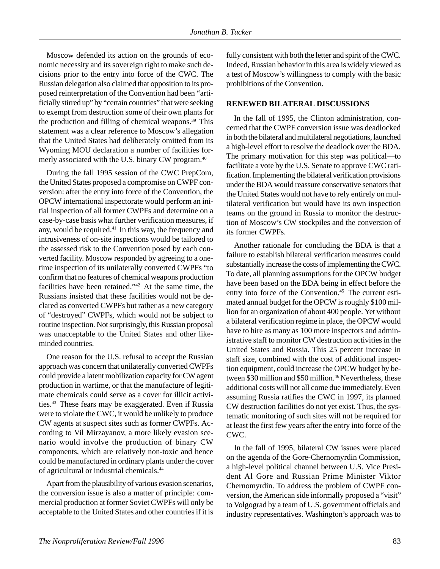Moscow defended its action on the grounds of economic necessity and its sovereign right to make such decisions prior to the entry into force of the CWC. The Russian delegation also claimed that opposition to its proposed reinterpretation of the Convention had been "artificially stirred up" by "certain countries" that were seeking to exempt from destruction some of their own plants for the production and filling of chemical weapons.39 This statement was a clear reference to Moscow's allegation that the United States had deliberately omitted from its Wyoming MOU declaration a number of facilities formerly associated with the U.S. binary CW program.<sup>40</sup>

During the fall 1995 session of the CWC PrepCom, the United States proposed a compromise on CWPF conversion: after the entry into force of the Convention, the OPCW international inspectorate would perform an initial inspection of all former CWPFs and determine on a case-by-case basis what further verification measures, if any, would be required.<sup>41</sup> In this way, the frequency and intrusiveness of on-site inspections would be tailored to the assessed risk to the Convention posed by each converted facility. Moscow responded by agreeing to a onetime inspection of its unilaterally converted CWPFs "to confirm that no features of chemical weapons production facilities have been retained."42 At the same time, the Russians insisted that these facilities would not be declared as converted CWPFs but rather as a new category of "destroyed" CWPFs, which would not be subject to routine inspection. Not surprisingly, this Russian proposal was unacceptable to the United States and other likeminded countries.

One reason for the U.S. refusal to accept the Russian approach was concern that unilaterally converted CWPFs could provide a latent mobilization capacity for CW agent production in wartime, or that the manufacture of legitimate chemicals could serve as a cover for illicit activities.43 These fears may be exaggerated. Even if Russia were to violate the CWC, it would be unlikely to produce CW agents at suspect sites such as former CWPFs. According to Vil Mirzayanov, a more likely evasion scenario would involve the production of binary CW components, which are relatively non-toxic and hence could be manufactured in ordinary plants under the cover of agricultural or industrial chemicals.44

Apart from the plausibility of various evasion scenarios, the conversion issue is also a matter of principle: commercial production at former Soviet CWPFs will only be acceptable to the United States and other countries if it is fully consistent with both the letter and spirit of the CWC. Indeed, Russian behavior in this area is widely viewed as a test of Moscow's willingness to comply with the basic prohibitions of the Convention.

### **RENEWED BILATERAL DISCUSSIONS**

In the fall of 1995, the Clinton administration, concerned that the CWPF conversion issue was deadlocked in both the bilateral and multilateral negotiations, launched a high-level effort to resolve the deadlock over the BDA. The primary motivation for this step was political—to facilitate a vote by the U.S. Senate to approve CWC ratification. Implementing the bilateral verification provisions under the BDA would reassure conservative senators that the United States would not have to rely entirely on multilateral verification but would have its own inspection teams on the ground in Russia to monitor the destruction of Moscow's CW stockpiles and the conversion of its former CWPFs.

Another rationale for concluding the BDA is that a failure to establish bilateral verification measures could substantially increase the costs of implementing the CWC. To date, all planning assumptions for the OPCW budget have been based on the BDA being in effect before the entry into force of the Convention.<sup>45</sup> The current estimated annual budget for the OPCW is roughly \$100 million for an organization of about 400 people. Yet without a bilateral verification regime in place, the OPCW would have to hire as many as 100 more inspectors and administrative staff to monitor CW destruction activities in the United States and Russia. This 25 percent increase in staff size, combined with the cost of additional inspection equipment, could increase the OPCW budget by between \$30 million and \$50 million.<sup>46</sup> Nevertheless, these additional costs will not all come due immediately. Even assuming Russia ratifies the CWC in 1997, its planned CW destruction facilities do not yet exist. Thus, the systematic monitoring of such sites will not be required for at least the first few years after the entry into force of the CWC.

In the fall of 1995, bilateral CW issues were placed on the agenda of the Gore-Chernomyrdin Commission, a high-level political channel between U.S. Vice President Al Gore and Russian Prime Minister Viktor Chernomyrdin. To address the problem of CWPF conversion, the American side informally proposed a "visit" to Volgograd by a team of U.S. government officials and industry representatives. Washington's approach was to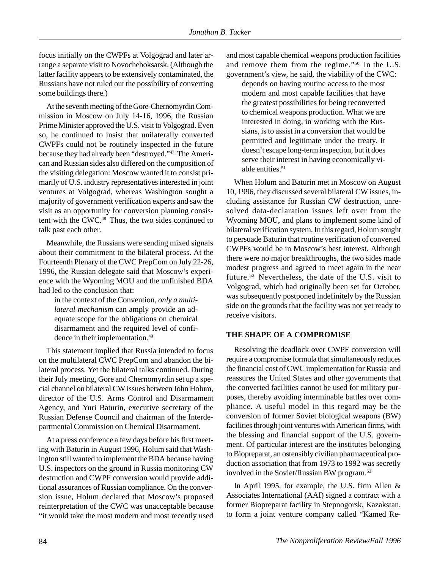focus initially on the CWPFs at Volgograd and later arrange a separate visit to Novocheboksarsk. (Although the latter facility appears to be extensively contaminated, the Russians have not ruled out the possibility of converting some buildings there.)

At the seventh meeting of the Gore-Chernomyrdin Commission in Moscow on July 14-16, 1996, the Russian Prime Minister approved the U.S. visit to Volgograd. Even so, he continued to insist that unilaterally converted CWPFs could not be routinely inspected in the future because they had already been "destroyed."47 The American and Russian sides also differed on the composition of the visiting delegation: Moscow wanted it to consist primarily of U.S. industry representatives interested in joint ventures at Volgograd, whereas Washington sought a majority of government verification experts and saw the visit as an opportunity for conversion planning consistent with the CWC.<sup>48</sup> Thus, the two sides continued to talk past each other.

Meanwhile, the Russians were sending mixed signals about their commitment to the bilateral process. At the Fourteenth Plenary of the CWC PrepCom on July 22-26, 1996, the Russian delegate said that Moscow's experience with the Wyoming MOU and the unfinished BDA had led to the conclusion that:

in the context of the Convention, *only a multilateral mechanism* can amply provide an adequate scope for the obligations on chemical disarmament and the required level of confidence in their implementation.<sup>49</sup>

This statement implied that Russia intended to focus on the multilateral CWC PrepCom and abandon the bilateral process. Yet the bilateral talks continued. During their July meeting, Gore and Chernomyrdin set up a special channel on bilateral CW issues between John Holum, director of the U.S. Arms Control and Disarmament Agency, and Yuri Baturin, executive secretary of the Russian Defense Council and chairman of the Interdepartmental Commission on Chemical Disarmament.

At a press conference a few days before his first meeting with Baturin in August 1996, Holum said that Washington still wanted to implement the BDA because having U.S. inspectors on the ground in Russia monitoring CW destruction and CWPF conversion would provide additional assurances of Russian compliance. On the conversion issue, Holum declared that Moscow's proposed reinterpretation of the CWC was unacceptable because "it would take the most modern and most recently used and most capable chemical weapons production facilities and remove them from the regime."50 In the U.S. government's view, he said, the viability of the CWC:

depends on having routine access to the most modern and most capable facilities that have the greatest possibilities for being reconverted to chemical weapons production. What we are interested in doing, in working with the Russians, is to assist in a conversion that would be permitted and legitimate under the treaty. It doesn't escape long-term inspection, but it does serve their interest in having economically viable entities.<sup>51</sup>

When Holum and Baturin met in Moscow on August 10, 1996, they discussed several bilateral CW issues, including assistance for Russian CW destruction, unresolved data-declaration issues left over from the Wyoming MOU, and plans to implement some kind of bilateral verification system. In this regard, Holum sought to persuade Baturin that routine verification of converted CWPFs would be in Moscow's best interest. Although there were no major breakthroughs, the two sides made modest progress and agreed to meet again in the near future.52 Nevertheless, the date of the U.S. visit to Volgograd, which had originally been set for October, was subsequently postponed indefinitely by the Russian side on the grounds that the facility was not yet ready to receive visitors.

# **THE SHAPE OF A COMPROMISE**

Resolving the deadlock over CWPF conversion will require a compromise formula that simultaneously reduces the financial cost of CWC implementation for Russia and reassures the United States and other governments that the converted facilities cannot be used for military purposes, thereby avoiding interminable battles over compliance. A useful model in this regard may be the conversion of former Soviet biological weapons (BW) facilities through joint ventures with American firms, with the blessing and financial support of the U.S. government. Of particular interest are the institutes belonging to Biopreparat, an ostensibly civilian pharmaceutical production association that from 1973 to 1992 was secretly involved in the Soviet/Russian BW program.<sup>53</sup>

In April 1995, for example, the U.S. firm Allen & Associates International (AAI) signed a contract with a former Biopreparat facility in Stepnogorsk, Kazakstan, to form a joint venture company called "Kamed Re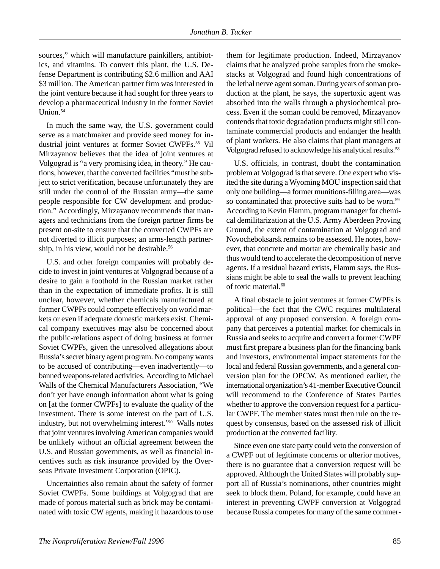sources," which will manufacture painkillers, antibiotics, and vitamins. To convert this plant, the U.S. Defense Department is contributing \$2.6 million and AAI \$3 million. The American partner firm was interested in the joint venture because it had sought for three years to develop a pharmaceutical industry in the former Soviet Union.54

In much the same way, the U.S. government could serve as a matchmaker and provide seed money for industrial joint ventures at former Soviet CWPFs.<sup>55</sup> Vil Mirzayanov believes that the idea of joint ventures at Volgograd is "a very promising idea, in theory." He cautions, however, that the converted facilities "must be subject to strict verification, because unfortunately they are still under the control of the Russian army—the same people responsible for CW development and production." Accordingly, Mirzayanov recommends that managers and technicians from the foreign partner firms be present on-site to ensure that the converted CWPFs are not diverted to illicit purposes; an arms-length partnership, in his view, would not be desirable.<sup>56</sup>

U.S. and other foreign companies will probably decide to invest in joint ventures at Volgograd because of a desire to gain a foothold in the Russian market rather than in the expectation of immediate profits. It is still unclear, however, whether chemicals manufactured at former CWPFs could compete effectively on world markets or even if adequate domestic markets exist. Chemical company executives may also be concerned about the public-relations aspect of doing business at former Soviet CWPFs, given the unresolved allegations about Russia's secret binary agent program. No company wants to be accused of contributing—even inadvertently—to banned weapons-related activities. According to Michael Walls of the Chemical Manufacturers Association, "We don't yet have enough information about what is going on [at the former CWPFs] to evaluate the quality of the investment. There is some interest on the part of U.S. industry, but not overwhelming interest."57 Walls notes that joint ventures involving American companies would be unlikely without an official agreement between the U.S. and Russian governments, as well as financial incentives such as risk insurance provided by the Overseas Private Investment Corporation (OPIC).

Uncertainties also remain about the safety of former Soviet CWPFs. Some buildings at Volgograd that are made of porous material such as brick may be contaminated with toxic CW agents, making it hazardous to use them for legitimate production. Indeed, Mirzayanov claims that he analyzed probe samples from the smokestacks at Volgograd and found high concentrations of the lethal nerve agent soman. During years of soman production at the plant, he says, the supertoxic agent was absorbed into the walls through a physiochemical process. Even if the soman could be removed, Mirzayanov contends that toxic degradation products might still contaminate commercial products and endanger the health of plant workers. He also claims that plant managers at Volgograd refused to acknowledge his analytical results.<sup>58</sup>

U.S. officials, in contrast, doubt the contamination problem at Volgograd is that severe. One expert who visited the site during a Wyoming MOU inspection said that only one building—a former munitions-filling area—was so contaminated that protective suits had to be worn.<sup>59</sup> According to Kevin Flamm, program manager for chemical demilitarization at the U.S. Army Aberdeen Proving Ground, the extent of contamination at Volgograd and Novocheboksarsk remains to be assessed. He notes, however, that concrete and mortar are chemically basic and thus would tend to accelerate the decomposition of nerve agents. If a residual hazard exists, Flamm says, the Russians might be able to seal the walls to prevent leaching of toxic material.<sup>60</sup>

A final obstacle to joint ventures at former CWPFs is political—the fact that the CWC requires multilateral approval of any proposed conversion. A foreign company that perceives a potential market for chemicals in Russia and seeks to acquire and convert a former CWPF must first prepare a business plan for the financing bank and investors, environmental impact statements for the local and federal Russian governments, and a general conversion plan for the OPCW. As mentioned earlier, the international organization's 41-member Executive Council will recommend to the Conference of States Parties whether to approve the conversion request for a particular CWPF. The member states must then rule on the request by consensus, based on the assessed risk of illicit production at the converted facility.

Since even one state party could veto the conversion of a CWPF out of legitimate concerns or ulterior motives, there is no guarantee that a conversion request will be approved. Although the United States will probably support all of Russia's nominations, other countries might seek to block them. Poland, for example, could have an interest in preventing CWPF conversion at Volgograd because Russia competes for many of the same commer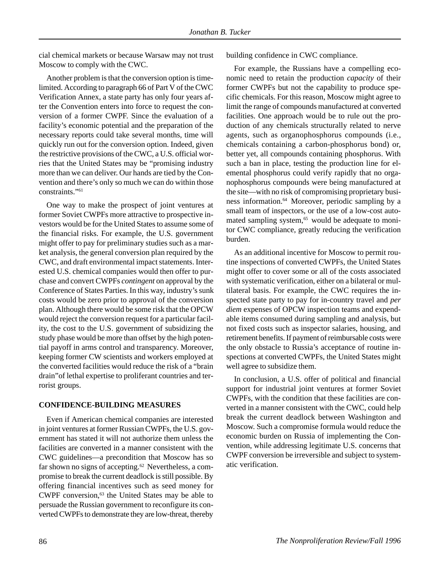cial chemical markets or because Warsaw may not trust Moscow to comply with the CWC.

Another problem is that the conversion option is timelimited. According to paragraph 66 of Part V of the CWC Verification Annex, a state party has only four years after the Convention enters into force to request the conversion of a former CWPF. Since the evaluation of a facility's economic potential and the preparation of the necessary reports could take several months, time will quickly run out for the conversion option. Indeed, given the restrictive provisions of the CWC, a U.S. official worries that the United States may be "promising industry more than we can deliver. Our hands are tied by the Convention and there's only so much we can do within those constraints."61

One way to make the prospect of joint ventures at former Soviet CWPFs more attractive to prospective investors would be for the United States to assume some of the financial risks. For example, the U.S. government might offer to pay for preliminary studies such as a market analysis, the general conversion plan required by the CWC, and draft environmental impact statements. Interested U.S. chemical companies would then offer to purchase and convert CWPFs *contingent* on approval by the Conference of States Parties. In this way, industry's sunk costs would be zero prior to approval of the conversion plan. Although there would be some risk that the OPCW would reject the conversion request for a particular facility, the cost to the U.S. government of subsidizing the study phase would be more than offset by the high potential payoff in arms control and transparency. Moreover, keeping former CW scientists and workers employed at the converted facilities would reduce the risk of a "brain drain"of lethal expertise to proliferant countries and terrorist groups.

#### **CONFIDENCE-BUILDING MEASURES**

Even if American chemical companies are interested in joint ventures at former Russian CWPFs, the U.S. government has stated it will not authorize them unless the facilities are converted in a manner consistent with the CWC guidelines—a precondition that Moscow has so far shown no signs of accepting.<sup>62</sup> Nevertheless, a compromise to break the current deadlock is still possible. By offering financial incentives such as seed money for CWPF conversion,<sup>63</sup> the United States may be able to persuade the Russian government to reconfigure its converted CWPFs to demonstrate they are low-threat, thereby building confidence in CWC compliance.

For example, the Russians have a compelling economic need to retain the production *capacity* of their former CWPFs but not the capability to produce specific chemicals. For this reason, Moscow might agree to limit the range of compounds manufactured at converted facilities. One approach would be to rule out the production of any chemicals structurally related to nerve agents, such as organophosphorus compounds (i.e., chemicals containing a carbon-phosphorus bond) or, better yet, all compounds containing phosphorus. With such a ban in place, testing the production line for elemental phosphorus could verify rapidly that no organophosphorus compounds were being manufactured at the site—with no risk of compromising proprietary business information.64 Moreover, periodic sampling by a small team of inspectors, or the use of a low-cost automated sampling system,<sup>65</sup> would be adequate to monitor CWC compliance, greatly reducing the verification burden.

As an additional incentive for Moscow to permit routine inspections of converted CWPFs, the United States might offer to cover some or all of the costs associated with systematic verification, either on a bilateral or multilateral basis. For example, the CWC requires the inspected state party to pay for in-country travel and *per diem* expenses of OPCW inspection teams and expendable items consumed during sampling and analysis, but not fixed costs such as inspector salaries, housing, and retirement benefits. If payment of reimbursable costs were the only obstacle to Russia's acceptance of routine inspections at converted CWPFs, the United States might well agree to subsidize them.

In conclusion, a U.S. offer of political and financial support for industrial joint ventures at former Soviet CWPFs, with the condition that these facilities are converted in a manner consistent with the CWC, could help break the current deadlock between Washington and Moscow. Such a compromise formula would reduce the economic burden on Russia of implementing the Convention, while addressing legitimate U.S. concerns that CWPF conversion be irreversible and subject to systematic verification.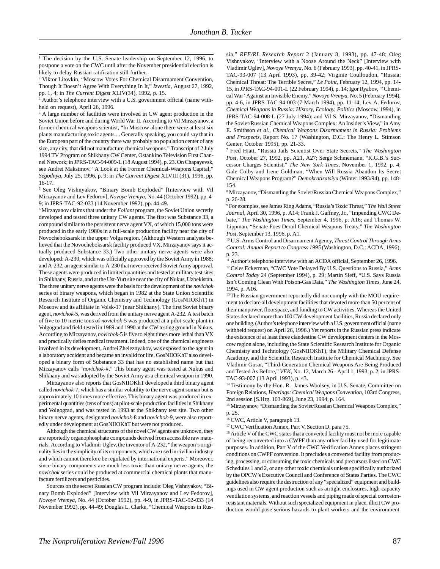<sup>1</sup> The decision by the U.S. Senate leadership on September 12, 1996, to postpone a vote on the CWC until after the November presidential election is likely to delay Russian ratification still further.

<sup>2</sup> Viktor Litovkin, "Moscow Votes For Chemical Disarmament Convention, Though It Doesn't Agree With Everything In It," *Izvestia,* August 27, 1992, pp. 1, 4; in *The Current Digest* XLIV(34), 1992, p. 15.

<sup>3</sup> Author's telephone interview with a U.S. government official (name withheld on request), April 26, 1996.

4 A large number of facilities were involved in CW agent production in the Soviet Union before and during World War II. According to Vil Mirzayanov, a former chemical weapons scientist, "In Moscow alone there were at least six plants manufacturing toxic agents.... Generally speaking, you could say that in the European part of the country there was probably no population center of any size, any city, that did not manufacture chemical weapons." Transcript of 2 July 1994 TV Program on Shikhany CW Center, Ostankino Television First Channel Network; in JPRS-TAC-94-009-L (18 August 1994), p. 23. On Chapayevsk, see Andrei Maksimov, "A Look at the Former Chemical-Weapons Capital," *Segodnya*, July 25, 1996, p. 9; in *The Current Digest* XLVIII (31), 1996, pp. 16-17.

5 See Oleg Vishnyakov, "Binary Bomb Exploded" [Interview with Vil Mirzayanov and Lev Fedorov], *Novoye Vremya,* No. 44 (October 1992), pp. 4- 9; in JPRS-TAC-92-033 (14 November 1992), pp. 44-49.

6 Mirzayanov claims that under the *Foliant* program, the Soviet Union secretly developed and tested three unitary CW agents. The first was Substance 33, a compound similar to the persistent nerve agent VX, of which 15,000 tons were produced in the early 1980s in a full-scale production facility near the city of Novocheboksarsk in the upper Volga region. (Although Western analysts believed that the Novocheboksarsk facility produced VX, Mirzayanov says it actually produced Substance 33.) Two other unitary nerve agents were also developed: A-230, which was officially approved by the Soviet Army in 1988; and A-232, an agent similar to A-230 that never received Soviet Army approval. These agents were produced in limited quantities and tested at military test sites in Shikhany, Russia, and at the Ust-Yurt site near the city of Nukus, Uzbekistan. The three unitary nerve agents were the basis for the development of the *novichok* series of binary weapons, which began in 1982 at the State Union Scientific Research Institute of Organic Chemistry and Technology (GosNIIOKhT) in Moscow and its affiliate in Volsk-17 (near Shikhany). The first Soviet binary agent, *novichok*-5, was derived from the unitary nerve agent A-232. A test batch of five to 10 metric tons of *novichok*-5 was produced at a pilot-scale plant in Volgograd and field-tested in 1989 and 1990 at the CW testing ground in Nukus. According to Mirzayanov, *novichok*-5 is five to eight times more lethal than VX and practically defies medical treatment. Indeed, one of the chemical engineers involved in its development, Andrei Zheleznyakov, was exposed to the agent in a laboratory accident and became an invalid for life. GosNIIOKhT also developed a binary form of Substance 33 that has no established name but that Mirzayanov calls "*novichok*-#." This binary agent was tested at Nukus and Shikhany and was adopted by the Soviet Army as a chemical weapon in 1990.

Mirzayanov also reports that GosNIIOKhT developed a third binary agent called *novichok*-7, which has a similar volatility to the nerve agent soman but is approximately 10 times more effective. This binary agent was produced in experimental quantities (tens of tons) at pilot-scale production facilities in Shikhany and Volgograd, and was tested in 1993 at the Shikhany test site. Two other binary nerve agents, designated *novichok*-8 and *novichok*-9, were also reportedly under development at GosNIIOKhT but were not produced.

Although the chemical structures of the novel CW agents are unknown, they are reportedly organophosphate compounds derived from accessible raw materials. According to Vladimir Uglev, the inventor of A-232, "the weapon's originality lies in the simplicity of its components, which are used in civilian industry and which cannot therefore be regulated by international experts." Moreover, since binary components are much less toxic than unitary nerve agents, the *novichok* series could be produced at commercial chemical plants that manufacture fertilizers and pesticides.

Sources on the secret Russian CW program include: Oleg Vishnyakov, "Binary Bomb Exploded" [Interview with Vil Mirzayanov and Lev Fedorov], *Novoye Vremya,* No. 44 (October 1992), pp. 4-9, in JPRS-TAC-92-033 (14 November 1992), pp. 44-49; Douglas L. Clarke, "Chemical Weapons in Russia," *RFE/RL Research Report* 2 (January 8, 1993), pp. 47-48; Oleg Vishnyakov, "Interview with a Noose Around the Neck" [Interview with Vladimir Uglev], *Novoye Vremya,* No. 6 (February 1993), pp. 40-41, in JPRS-TAC-93-007 (13 April 1993), pp. 39-42; Virginie Coulloudon, "Russia: Chemical Threat: The Terrible Secret," *Le Point*, February 12, 1994, pp. 14- 15, in JPRS-TAC-94-001-L (22 February 1994), p. 14; Igor Ryabov, "'Chemical War' Against an Invisible Enemy," *Novoye Vremya*, No. 5 (February 1994), pp. 4-6, in JPRS-TAC-94-003 (7 March 1994), pp. 11-14; Lev A. Fedorov, *Chemical Weapons in Russia: History, Ecology, Politics* (Moscow, 1994), in JPRS-TAC-94-008-L (27 July 1994); and Vil S. Mirzayanov, "Dismantling the Soviet/Russian Chemical Weapons Complex: An Insider's View," in Amy E. Smithson *et al.*, *Chemical Weapons Disarmament in Russia: Problems and Prospects,* Report No. 17 (Washington, D.C.: The Henry L. Stimson Center, October 1995), pp. 21-33.

7 Fred Hiatt, "Russia Jails Scientist Over State Secrets," *The Washington Post*, October 27, 1992, pp. A21, A27; Serge Schmemann, "K.G.B.'s Successor Charges Scientist," *The New York Times,* November 1, 1992, p. 4; Gale Colby and Irene Goldman, "When Will Russia Abandon Its Secret Chemical Weapons Program?" *Demokratizatsiya* (Winter 1993/94), pp. 148- 154.

8 Mirzayanov, "Dismantling the Soviet/Russian Chemical Weapons Complex," p. 26-28.

9 For examples, see James Ring Adams, "Russia's Toxic Threat," *The Wall Street Journal*, April 30, 1996, p. A14; Frank J. Gaffney, Jr., "Impending CWC Debate," *The Washington Times*, September 4, 1996, p. A16; and Thomas W. Lippman, "Senate Foes Derail Chemical Weapons Treaty," *The Washington Post*, September 13, 1996, p. A1.

10 U.S. Arms Control and Disarmament Agency, *Threat Control Through Arms Control: Annual Report to Congress 1995* (Washington, D.C.: ACDA, 1996), p. 23.

<sup>11</sup> Author's telephone interview with an ACDA official, September 26, 1996.

12 Celes Eckerman, "CWC Vote Delayed By U.S. Questions to Russia," *Arms Control Today* 24 (September 1994), p. 29; Martin Sieff, "U.S. Says Russia Isn't Coming Clean With Poison-Gas Data," *The Washington Times*, June 24, 1994, p. A16.

<sup>13</sup> The Russian government reportedly did not comply with the MOU requirement to declare all development facilities that devoted more than 50 percent of their manpower, floorspace, and funding to CW activities. Whereas the United States declared more than 100 CW development facilities, Russia declared only one building. (Author's telephone interview with a U.S. government official (name withheld request) on April 26, 1996.) Yet reports in the Russian press indicate the existence of at least three clandestine CW development centers in the Moscow region alone, including the State Scientific Research Institute for Organic Chemistry and Technology (GosNIIOKhT), the Military Chemical Defense Academy, and the Scientific Research Institute for Chemical Machinery. See Vladimir Gusar, "Third-Generation Chemical Weapons Are Being Produced and Tested As Before," *VEK*, No. 12, March 26 - April 1, 1993, p. 2; in JPRS-TAC-93-007 (13 April 1993), p. 43.

<sup>14</sup> Testimony by the Hon. R. James Woolsey, in U.S. Senate, Committee on Foreign Relations, *Hearings: Chemical Weapons Convention*, 103rd Congress, 2nd session [S.Hrg. 103-869], June 23, 1994, p. 164.

<sup>15</sup> Mirzayanov, "Dismantling the Soviet/Russian Chemical Weapons Complex," p. 25.

16 CWC, Article V, paragraph 13.

<sup>17</sup> CWC Verification Annex, Part V, Section D, para 75.

<sup>18</sup> Article V of the CWC states that a converted facility must not be more capable of being reconverted into a CWPF than any other facility used for legitimate purposes. In addition, Part V of the CWC Verification Annex places stringent conditions on CWPF conversion. It precludes a converted facility from producing, processing, or consuming the toxic chemicals and precursors listed on CWC Schedules 1 and 2, or any other toxic chemicals unless specifically authorized by the OPCW's Executive Council and Conference of States Parties. The CWC guidelines also require the destruction of any "specialized" equipment and buildings used in CW agent production such as airtight enclosures, high-capacity ventilation systems, and reaction vessels and piping made of special corrosionresistant materials. Without such specialized equipment in place, illicit CW production would pose serious hazards to plant workers and the environment.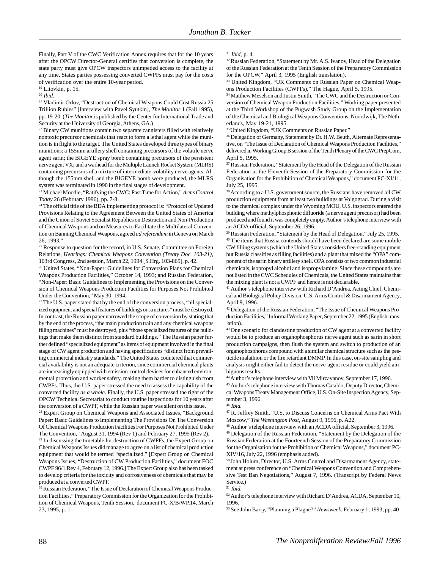Finally, Part V of the CWC Verification Annex requires that for the 10 years after the OPCW Director-General certifies that conversion is complete, the state party must give OPCW inspectors unimpeded access to the facility at any time. States parties possessing converted CWPFs must pay for the costs of verification over the entire 10-year period.

<sup>19</sup> Litovkin, p. 15.

<sup>20</sup> *Ibid.*

21 Vladimir Orlov, "Destruction of Chemical Weapons Could Cost Russia 25 Trillion Rubles" [Interview with Pavel Syutkin], *The Monitor* 1 (Fall 1995), pp. 19-20. (*The Monitor* is published by the Center for International Trade and Security at the University of Georgia, Athens, GA.)

<sup>22</sup> Binary CW munitions contain two separate cannisters filled with relatively nontoxic precursor chemicals that react to form a lethal agent while the munition is in flight to the target. The United States developed three types of binary munitions: a 155mm artillery shell containing precursors of the volatile nerve agent sarin; the BIGEYE spray bomb containing precursors of the persistent nerve agent VX; and a warhead for the Multiple Launch Rocket System (MLRS) containing precursors of a mixture of intermediate-volatility nerve agents. Although the 155mm shell and the BIGEYE bomb were produced, the MLRS system was terminated in 1990 in the final stages of development.

23 Michael Moodie, "Ratifying the CWC: Past Time for Action," *Arms Control Today* 26 (February 1996), pp. 7-8.

<sup>24</sup> The official title of the BDA implementing protocol is: "Protocol of Updated Provisions Relating to the Agreement Between the United States of America and the Union of Soviet Socialist Republics on Destruction and Non-Production of Chemical Weapons and on Measures to Facilitate the Multilateral Convention on Banning Chemical Weapons, agreed *ad referendum* in Geneva on March 26, 1993."

25 Response to question for the record, in U.S. Senate, Committee on Foreign Relations, *Hearings: Chemical Weapons Convention (Treaty Doc. 103-21)*, 103rd Congress, 2nd session, March 22, 1994 [S.Hrg. 103-869], p. 42.

26 United States, "Non-Paper: Guidelines for Conversion Plans for Chemical Weapons Production Facilities," October 14, 1993; and Russian Federation, "Non-Paper: Basic Guidelines to Implementing the Provisions on the Conversion of Chemical Weapons Production Facilities for Purposes Not Prohibited Under the Convention," May 30, 1994.

 $27$  The U.S. paper stated that by the end of the conversion process, "all specialized equipment and special features of buildings or structures" must be destroyed. In contrast, the Russian paper narrowed the scope of conversion by stating that by the end of the process, "the main production train and any chemical weapons filling machines" must be destroyed, plus "those specialized features of the buildings that make them distinct from standard buildings." The Russian paper further defined "specialized equipment" as items of equipment involved in the final stage of CW agent production and having specifications "distinct from prevailing commercial industry standards." The United States countered that commercial availability is not an adequate criterion, since commercial chemical plants are increasingly equipped with emission-control devices for enhanced environmental protection and worker safety, making them harder to distinguish from CWPFs. Thus, the U.S. paper stressed the need to assess the capability of the converted facility *as a whole*. Finally, the U.S. paper stressed the right of the OPCW Technical Secretariat to conduct routine inspections for 10 years after the conversion of a CWPF, while the Russian paper was silent on this issue.

<sup>28</sup> Expert Group on Chemical Weapons and Associated Issues, "Background Paper: Basic Guidelines to Implementing The Provisions On The Conversion Of Chemical Weapons Production Facilities For Purposes Not Prohibited Under The Convention," August 31, 1994 (Rev 1) and February 27, 1995 (Rev 2).

<sup>29</sup> In discussing the timetable for destruction of CWPFs, the Expert Group on Chemical Weapons Issues did manage to agree on a list of chemical production equipment that would be termed "specialized." [Expert Group on Chemical Weapons Issues, "Destruction of CW Production Facilities," document FOC CWPF 96/1.Rev 4, February 12, 1996.] The Expert Group also has been tasked to develop criteria for the toxicity and corrosiveness of chemicals that may be produced at a converted CWPF.

30 Russian Federation, "The Issue of Declaration of Chemical Weapons Production Facilities," Preparatory Commission for the Organization for the Prohibition of Chemical Weapons, Tenth Session, document PC-X/B/WP.14, March 23, 1995, p. 1.

#### <sup>31</sup> *Ibid,* p. 4.

<sup>32</sup> Russian Federation, "Statement by Mr. A.S. Ivanov, Head of the Delegation of the Russian Federation at the Tenth Session of the Preparatory Commission for the OPCW," April 3, 1995 (English translation).

33 United Kingdom, "UK Comments on Russian Paper on Chemical Weapons Production Facilities (CWPFs)," The Hague, April 5, 1995.

34 Matthew Meselson and Justin Smith, "The CWC and the Destruction or Conversion of Chemical Weapon Production Facilities," Working paper presented at the Third Workshop of the Pugwash Study Group on the Implementation of the Chemical and Biological Weapons Conventions, Noordwijk, The Netherlands, May 19-21, 1995.

35 United Kingdom, "UK Comments on Russian Paper."

<sup>36</sup> Delegation of Germany, Statement by Dr. H.W. Beuth, Alternate Representative, on "The Issue of Declaration of Chemical Weapons Production Facilities," delivered in Working Group B session of the Tenth Plenary of the CWC PrepCom, April 5, 1995.

<sup>37</sup> Russian Federation, "Statement by the Head of the Delegation of the Russian Federation at the Eleventh Session of the Preparatory Commission for the Organisation for the Prohibition of Chemical Weapons," document PC-XI/11, July 25, 1995.

<sup>38</sup> According to a U.S. government source, the Russians have removed all CW production equipment from at least two buildings at Volgograd. During a visit to the chemical complex under the Wyoming MOU, U.S. inspectors entered the building where methylphosphonic difluoride (a nerve agent precursor) had been produced and found it was completely empty. Author's telephone interview with an ACDA official, September 26, 1996.

39 Russian Federation, "Statement by the Head of Delegation," July 25, 1995. <sup>40</sup> The items that Russia contends should have been declared are some mobile CW filling systems (which the United States considers free-standing equipment but Russia classifies as filling facilities) and a plant that mixed the "OPA" component of the sarin binary artillery shell. OPA consists of two common industrial chemicals, isopropyl alcohol and isopropylamine. Since these compounds are not listed in the CWC Schedules of Chemicals, the United States maintains that the mixing plant is not a CWPF and hence is not declarable.

41 Author's telephone interview with Richard D'Andrea, Acting Chief, Chemical and Biological Policy Division, U.S. Arms Control & Disarmament Agency, April 9, 1996.

42 Delegation of the Russian Federation, "The Issue of Chemical Weapons Production Facilities," Informal Working Paper, September 22, 1995 (English translation).

<sup>43</sup> One scenario for clandestine production of CW agent at a converted facility would be to produce an organophosphorus nerve agent such as sarin in short production campaigns, then flush the system and switch to production of an organophosphorus compound with a similar chemical structure such as the pesticide malathion or the fire retardant DMMP. In this case, on-site sampling and analysis might either fail to detect the nerve-agent residue or could yield ambiguous results.

44 Author's telephone interview with Vil Mirzayanov, September 17, 1996.

45 Author's telephone interview with Thomas Cataldo, Deputy Director, Chemical Weapons Treaty Management Office, U.S. On-Site Inspection Agency, September 3, 1996.

<sup>46</sup> *Ibid.*

47 R. Jeffrey Smith, "U.S. to Discuss Concerns on Chemical Arms Pact With Moscow," *The Washington Post,* August 9, 1996, p. A22.

48 Author's telephone interview with an ACDA official, September 3, 1996.

<sup>49</sup> Delegation of the Russian Federation, "Statement by the Delegation of the Russian Federation at the Fourteenth Session of the Preparatory Commission for the Organisation for the Prohibition of Chemical Weapons," document PC-XIV/16, July 22, 1996 (emphasis added).

50 John Holum, Director, U.S. Arms Control and Disarmament Agency, statement at press conference on "Chemical Weapons Convention and Comprehensive Test Ban Negotiations," August 7, 1996. (Transcript by Federal News Service.)

52 Author's telephone interview with Richard D'Andrea, ACDA, September 10, 1996.

53 See John Barry, "Planning a Plague?" *Newsweek,* February 1, 1993, pp. 40-

<sup>51</sup> *Ibid.*